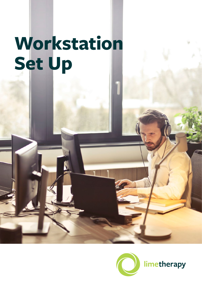# **Workstation Set Up**

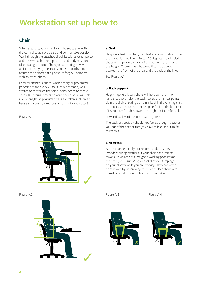## **Workstation set up how to**

## **Chair**

When adjusting your chair be confident to play with the control to achieve a safe and comfortable position. Work through the attached checklist with another person and observe each other's postures and body positions often taking a photo of how you are sitting now will assist in identifying the areas you need to adjust to assume the perfect sitting posture for you; compare with an 'after' photo.

Postural change is critical when sitting for prolonged periods of time every 20 to 30 minutes stand, walk, stretch to rehydrate the spine it only needs to take 20 seconds. External timers on your phone or PC will help in ensuring these postural breaks are taken such break have also proven to improve productivity and output.

#### Figure A.1





#### **a. Seat**

Height – adjust chair height so feet are comfortably flat on the floor, hips and knees 90 to 120 degrees. Low heeled shoes will improve comfort of the legs with the chair at this height. There should be a two-finger clearance between the front of the chair and the back of the knee

See Figure A.1.

#### **b. Back support**

Height – generally task chairs will have some form of lumbar support raise the back rest to the highest point; sit in the chair ensuring bottom is back in the chair against the backrest; check the lumbar spine fits into the backrest. If it's not comfortable, lower the height until comfortable.

Forward/backward position – See Figure A.2.

The backrest position should not feel as though it pushes you out of the seat or that you have to lean back too far to reach it.

#### **c. Armrests**

Armrests are generally not recommended as they impede working postures. If your chair has armrests make sure you can assume good working postures at the desk (see Figure A.3) or that they don't impinge on your elbows while you are working. They can often be removed by unscrewing them, or replace them with a smaller or adjustable option. See Figure A.4.

Figure A.2 Figure A.3 Figure A.4



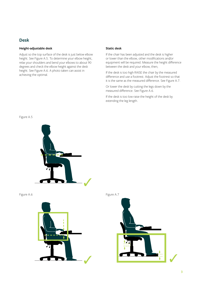### **Desk**

#### **Height-adjustable desk**

Adjust so the top surface of the desk is just below elbow height. See Figure A.5. To determine your elbow height, relax your shoulders and bend your elbows to about 90 degrees and check the elbow height against the desk height. See Figure A.6. A photo taken can assist in achieving the optimal.

#### **Static desk**

If the chair has been adjusted and the desk is higher or lower than the elbow, other modifications and/or equipment will be required. Measure the height difference between the desk and your elbow, then;

If the desk is too high RAISE the chair by the measured difference and use a footrest. Adjust the footrest so that it is the same as the measured difference. See Figure A.7.

Or lower the desk by cutting the legs down by the measured difference. See Figure A.6.

If the desk is too low raise the height of the desk by extending the leg length.

Figure A.5





Figure A.6 Figure A.7

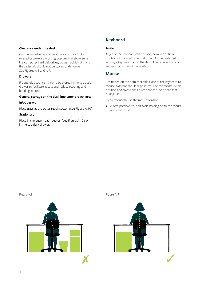#### **Clearance under the desk**

Compromised leg space may force you to adopt a twisted or awkward working posture, therefore items like computer hard disk drives, boxes, rubbish bins and file pedestals should not be stored under desks See Figures A.8 and A.9.

#### **Drawers**

Frequently used items are to be stored in the top desk drawer to facilitate access and reduce reaching and bending actions.

#### **General storage on the desk implement reach arcs**

#### **In/out-trays**

Place trays at the outer reach sector (see Figure A.10).

#### **Stationery**

Place in the outer reach sector (see Figure A.10) or in the top desk drawer.

## **Keyboard**

#### **Angle**

Angle of the keyboard can be used, however optimal position of the wrist is neutral straight. The preferred setting is keyboard flat on the desk. This reduced risks of awkward postures of the wrists.

#### **Mouse**

Positioned on the dominant side close to the keyboard to reduce awkward shoulder postures. Use the mouse in this position and always aim to keep the mouse on the mat during use.

If you frequently use the mouse consider:

• Where possible, try and avoid holding on to the mouse when not in use.





Figure A.8 Figure A.9

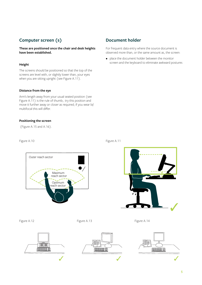## **Computer screen (s)**

**These are positioned once the chair and desk heights have been established.**

#### **Height**

The screens should be positioned so that the top of the screens are level with, or slightly lower than, your eyes when you are sitting upright (see Figure A.11).

#### **Distance from the eye**

Arm's length away from your usual seated position (see Figure A.11) is the rule of thumb;. try this position and move it further away or closer as required; if you wear bi/ multifocal this will differ.

#### **Positioning the screen**

(Figure A.15 and A.16).

Outer reach sector

## **Document holder**

For frequent data entry where the source document is observed more than, or the same amount as, the screen:

• place the document holder between the monitor screen and the keyboard to eliminate awkward postures





Figure A.12 **Figure A.13** Figure A.13 **Figure A.14** Figure A.14



Maximum reach sector

Optimum reach sector





Figure A.10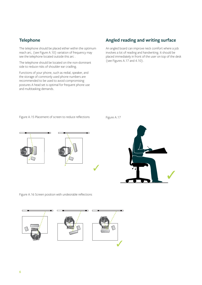## **Telephone**

The telephone should be placed either within the optimum reach arc, (see Figure A.10) variation of frequency may see the telephone located outside this arc .

The telephone should be located on the non-dominant side to reduce risks of shoulder ear cradling.

Functions of your phone, such as redial, speaker, and the storage of commonly used phone numbers are recommended to be used to avoid compromising postures A head set is optimal for frequent phone use and multitasking demands.

## **Angled reading and writing surface**

An angled board can improve neck comfort where a job involves a lot of reading and handwriting. It should be placed immediately in front of the user on top of the desk (see Figures A.17 and 4.10).

Figure A.15 Placement of screen to reduce reflections Figure A.17



Figure A.16 Screen position with undesirable reflections

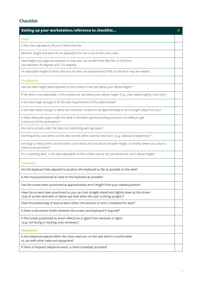## **Checklist**

| Setting up your workstation; reference to checklist                                                                                                                                | X |
|------------------------------------------------------------------------------------------------------------------------------------------------------------------------------------|---|
| <b>Chair</b>                                                                                                                                                                       |   |
| Is the chair adjusted to fit you? Check that the:                                                                                                                                  |   |
| Backrest height and back tilt are adjusted to fit the curve of the user's back.                                                                                                    |   |
| Seat height and angle are adjusted so that user can sit with their feet flat on the floor,<br>hips between 90 degrees and 120 degrees.                                             |   |
| An adjustable-height footrest that ensures feet are positioned as if flat on the floor may be needed.                                                                              |   |
| Desk/bench                                                                                                                                                                         |   |
| Has the desk height been adjusted so the surface is set just below your elbow height?                                                                                              |   |
| If the desk is not adjustable, is the surface set just below your elbow height (e.g. chair raised slightly, foot rest)?                                                            |   |
| Is the desk large enough to fit the task requirements of the job/multitask?                                                                                                        |   |
| Is the desk deep enough to allow the computer screens to be approximately at arm's length away from you?                                                                           |   |
| Is there adequate space under the desk to facilitate optimal working postures and ability to get<br>in and out of the workstation?                                                 |   |
| Are items stored under the desk not interfering with leg space?                                                                                                                    |   |
| Are frequently used items on the desk stored within optimal reach arcs (e.g. keyboard, telephone)?                                                                                 |   |
| Are large or heavy items stored within close reach and not above shoulder height, or nearby where you have to<br>stand to access them?                                             |   |
| For a standing desk, is the desk adjustable so the surface can be set just below the user's elbow height?                                                                          |   |
| <b>Computer</b>                                                                                                                                                                    |   |
| Are the keyboard feet adjusted to position the keyboard as flat as possible on the desk?                                                                                           |   |
| Is the mouse positioned as close to the keyboard as possible?                                                                                                                      |   |
| Has the screen been positioned at approximately arm's length from your seated position?                                                                                            |   |
| Have the screens been positioned so you can look straight ahead and slightly down at the screen<br>(top of screen level with or below eye level when the user is sitting upright)? |   |
| Does the positioning of dual screens reflect the amount of work completed for each?                                                                                                |   |
| Is there a document holder between the screen and keyboard if required?                                                                                                            |   |
| Is the screen positioned to avoid reflections or glare from windows or lights<br>(e.g. not facing or backing onto windows)?                                                        |   |
| <b>Telephone</b>                                                                                                                                                                   |   |
| Is the telephone placed within the close reach arc on the side which is comfortable<br>to use with other tasks and equipment?                                                      |   |
| If there is frequent telephone work, is there a headset provided?                                                                                                                  |   |